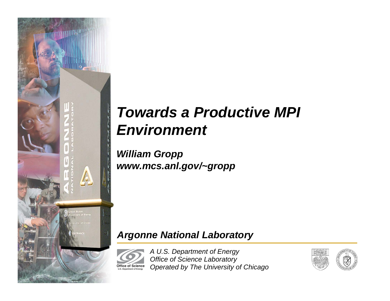

# *Towards a Productive MPI Environment*

*William Gropp www.mcs.anl.gov/~gropp*

### *Argonne National Laboratory*

*A U.S. Department of Energy Office of Science Laboratory Operated by The University of Chicago* **Office of Science U.S. Department of Energy**

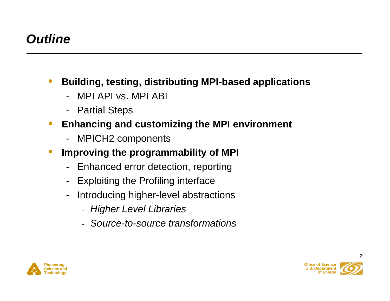## *Outline*

- • **Building, testing, distributing MPI-based applications**
	- MPI API vs. MPI ABI
	- -Partial Steps
- $\bullet$  **Enhancing and customizing the MPI environment**
	- -MPICH2 components
- $\bullet$  **Improving the programmability of MPI**
	- Enhanced error detection, reporting
	- -Exploiting the Profiling interface
	- - Introducing higher-level abstractions
		- *Higher Level Libraries*
		- *Source-to-source transformations*



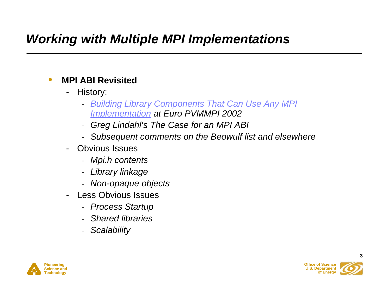## *Working with Multiple MPI Implementations*

#### $\bullet$ **MPI ABI Revisited**

- - History:
	- *Building Library Components That Can Use Any MPI Implementation at Euro PVMMPI 2002*
	- *Greg Lindahl's The Case for an MPI ABI*
	- *Subsequent comments on the Beowulf list and elsewhere*
- Obvious Issues
	- *Mpi.h contents*
	- *Library linkage*
	- *Non-opaque objects*
- Less Obvious Issues
	- *Process Startup*
	- *Shared libraries*
	- *Scalability*



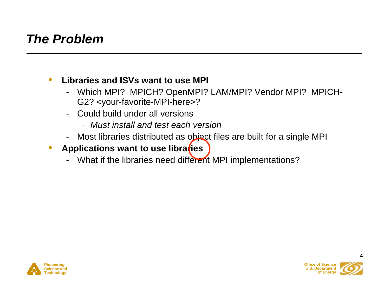### *The Problem*

#### $\bullet$ **Libraries and ISVs want to use MPI**

- - Which MPI? MPICH? OpenMPI? LAM/MPI? Vendor MPI? MPICH-G2? <your-favorite-MPI-here>?
- Could build under all versions
	- *Must install and test each version*
- Most libraries distributed as object files are built for a single MPI
- $\bullet$ Applications want to use libraries
	- What if the libraries need different MPI implementations?



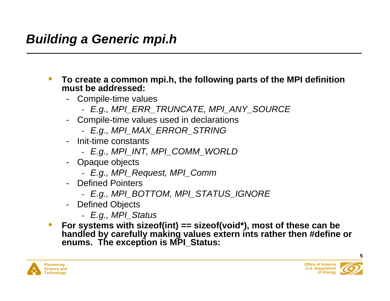- $\bullet$  **To create a common mpi.h, the following parts of the MPI definition must be addressed:**
	- Compile-time values
		- *E.g., MPI\_ERR\_TRUNCATE, MPI\_ANY\_SOURCE*
	- Compile-time values used in declarations
		- *E.g., MPI\_MAX\_ERROR\_STRING*
	- - Init-time constants
		- *E.g., MPI\_INT, MPI\_COMM\_WORLD*
	- Opaque objects
		- *E.g., MPI\_Request, MPI\_Comm*
	- Defined Pointers
		- *E.g., MPI\_BOTTOM, MPI\_STATUS\_IGNORE*
	- Defined Objects
		- *E.g., MPI\_Status*
- $\bullet$  **For systems with sizeof(int) == sizeof(void\*), most of these can be handled by carefully making values extern ints rather then #define or enums. The exception is MPI\_Status:**



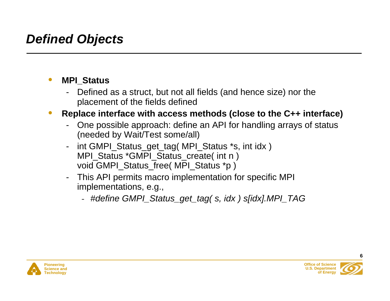## *Defined Objects*

#### $\bullet$ **MPI\_Status**

- - Defined as a struct, but not all fields (and hence size) nor the placement of the fields defined
- $\bullet$  **Replace interface with access methods (close to the C++ interface)**
	- - One possible approach: define an API for handling arrays of status (needed by Wait/Test some/all)
	- int GMPI\_Status\_get\_tag( MPI\_Status \*s, int idx ) MPI\_Status \*GMPI\_Status\_create( int n ) void GMPI\_Status\_free( MPI\_Status \*p )
	- - This API permits macro implementation for specific MPI implementations, e.g.,
		- *#define GMPI\_Status\_get\_tag( s, idx ) s[idx].MPI\_TAG*



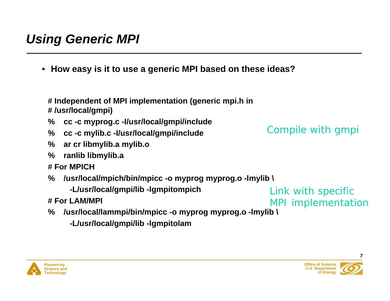## *Using Generic MPI*

• **How easy is it to use a generic MPI based on these ideas?**

**# Independent of MPI implementation (generic mpi.h in # /usr/local/gmpi)**

- **% cc -c myprog.c -I/usr/local/gmpi/include**
- **% cc -c mylib.c -I/usr/local/gmpi/include**
- **% ar cr libmylib.a mylib.o**
- **% ranlib libmylib.a**
- **# For MPICH**
- **% /usr/local/mpich/bin/mpicc -o myprog myprog.o -lmylib \**

 **-L/usr/local/gmpi/lib -lgmpitompich**

- **# For LAM/MPI**
- **% /usr/local/lammpi/bin/mpicc -o myprog myprog.o -lmylib \**
	- **-L/usr/local/gmpi/lib -lgmpitolam**

*Link* with specific MPI implementation

*Compile* with gmpi

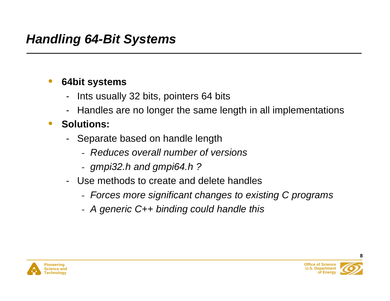#### •**64bit systems**

- -Ints usually 32 bits, pointers 64 bits
- -Handles are no longer the same length in all implementations

#### $\bullet$ **Solutions:**

- - Separate based on handle length
	- *Reduces overall number of versions*
	- *gmpi32.h and gmpi64.h ?*
- Use methods to create and delete handles
	- *Forces more significant changes to existing C programs*
	- *A generic C++ binding could handle this*



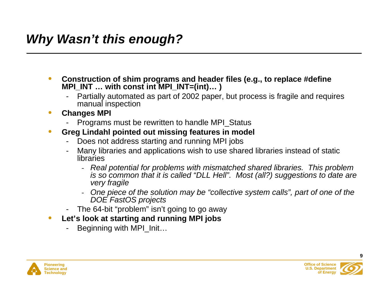## *Why Wasn't this enough?*

- $\bullet$  **Construction of shim programs and header files (e.g., to replace #define MPI\_INT … with const int MPI\_INT=(int)… )**
	- Partially automated as part of 2002 paper, but process is fragile and requires manual inspection
- $\bullet$  **Changes MPI**
	- Programs must be rewritten to handle MPI\_Status
- • **Greg Lindahl pointed out missing features in model**
	- Does not address starting and running MPI jobs
	- Many libraries and applications wish to use shared libraries instead of static libraries
		- *Real potential for problems with mismatched shared libraries. This problem is so common that it is called "DLL Hell". Most (all?) suggestions to date are very fragile*
		- *One piece of the solution may be "collective system calls", part of one of the DOE FastOS projects*
	- The 64-bit "problem" isn't going to go away
- $\bullet$  **Let's look at starting and running MPI jobs**
	- Beginning with MPI\_Init…



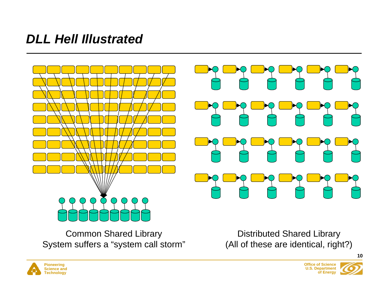### *DLL Hell Illustrated*



Common Shared Library System suffers a "system call storm"

Distributed Shared Library (All of these are identical, right?)



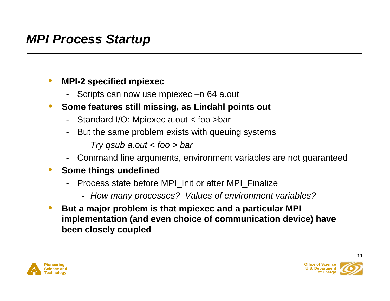### *MPI Process Startup*

#### $\bullet$ **MPI-2 specified mpiexec**

- -Scripts can now use mpiexec –n 64 a.out
- $\bullet$  **Some features still missing, as Lindahl points out**
	- -Standard I/O: Mpiexec a.out < foo >bar
	- - But the same problem exists with queuing systems
		- -*Try qsub a.out < foo > bar*
	- -Command line arguments, environment variables are not guaranteed

#### $\bullet$ **Some things undefined**

- - Process state before MPI\_Init or after MPI\_Finalize
	- *How many processes? Values of environment variables?*
- $\bullet$  **But a major problem is that mpiexec and a particular MPI implementation (and even choice of communication device) have been closely coupled**



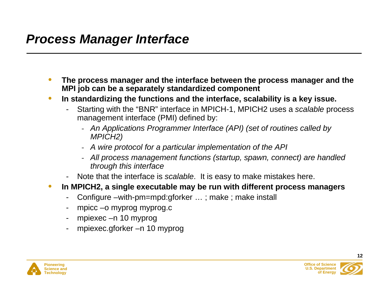### *Process Manager Interface*

- $\bullet$  **The process manager and the interface between the process manager and the MPI job can be a separately standardized component**
- $\bullet$  **In standardizing the functions and the interface, scalability is a key issue.**
	- Starting with the "BNR" interface in MPICH-1, MPICH2 uses a *scalable* process management interface (PMI) defined by:
		- *An Applications Programmer Interface (API) (set of routines called by MPICH2)*
		- *A wire protocol for a particular implementation of the API*
		- *All process management functions (startup, spawn, connect) are handled through this interface*
	- Note that the interface is *scalable*. It is easy to make mistakes here.
- $\bullet$  **In MPICH2, a single executable may be run with different process managers**
	- Configure –with-pm=mpd:gforker … ; make ; make install
	- mpicc –o myprog myprog.c
	- mpiexec –n 10 myprog
	- mpiexec.gforker –n 10 myprog



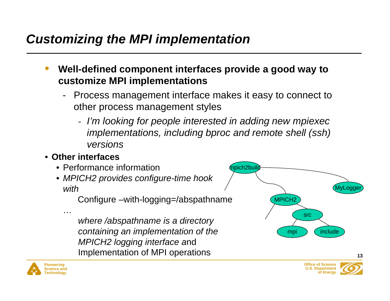## *Customizing the MPI implementation*

- • **Well-defined component interfaces provide a good way to customize MPI implementations**
	- - Process management interface makes it easy to connect to other process management styles
		- *I'm looking for people interested in adding new mpiexec implementations, including bproc and remote shell (ssh) versions*

### • **Other interfaces**

…

- Performance information
- *MPICH2 provides configure-time hook with*

Configure –with-logging=/abspathname

*where /abspathname is a directory containing an implementation of the MPICH2 logging interface a*nd Implementation of MPI operations





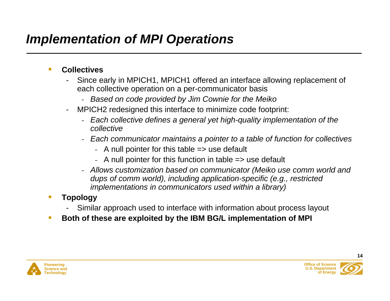## *Implementation of MPI Operations*

#### •**Collectives**

- Since early in MPICH1, MPICH1 offered an interface allowing replacement of each collective operation on a per-communicator basis
	- *Based on code provided by Jim Cownie for the Meiko*
- MPICH2 redesigned this interface to minimize code footprint:
	- *Each collective defines a general yet high-quality implementation of the collective*
	- *Each communicator maintains a pointer to a table of function for collectives*
		- A null pointer for this table => use default
		- A null pointer for this function in table => use default
	- *Allows customization based on communicator (Meiko use comm world and dups of comm world), including application-specific (e.g., restricted implementations in communicators used within a library)*

#### •**Topology**

- Similar approach used to interface with information about process layout
- •**Both of these are exploited by the IBM BG/L implementation of MPI**



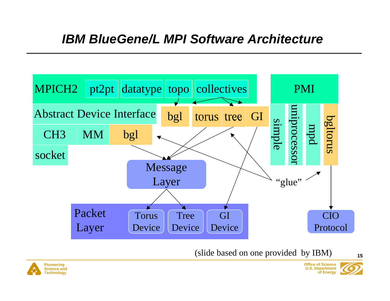### *IBM BlueGene/L MPI Software Architecture*



(slide based on one provided by IBM)



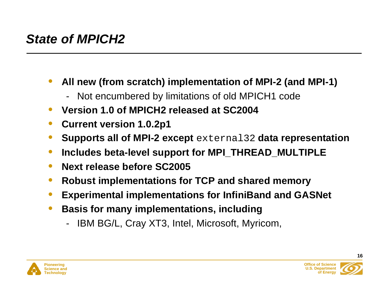## *State of MPICH2*

- • **All new (from scratch) implementation of MPI-2 (and MPI-1)**
	- -Not encumbered by limitations of old MPICH1 code
- •**Version 1.0 of MPICH2 released at SC2004**
- $\bullet$ **Current version 1.0.2p1**
- •**Supports all of MPI-2 except** external32 **data representation**
- $\bullet$ **Includes beta-level support for MPI\_THREAD\_MULTIPLE**
- $\bullet$ **Next release before SC2005**
- $\bullet$ **Robust implementations for TCP and shared memory**
- •**Experimental implementations for InfiniBand and GASNet**
- $\bullet$  **Basis for many implementations, including**
	- -IBM BG/L, Cray XT3, Intel, Microsoft, Myricom,



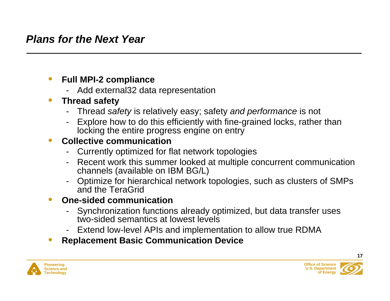#### $\bullet$ **Full MPI-2 compliance**

- Add external32 data representation

#### $\bullet$ **Thread safety**

- Thread *safety* is relatively easy; safety *and performance* is not
- Explore how to do this efficiently with fine-grained locks, rather than locking the entire progress engine on entry

#### $\bullet$ **Collective communication**

- Currently optimized for flat network topologies
- Recent work this summer looked at multiple concurrent communication channels (available on IBM BG/L)
- - Optimize for hierarchical network topologies, such as clusters of SMPs and the TeraGrid

#### $\bullet$ **One-sided communication**

- - Synchronization functions already optimized, but data transfer uses two-sided semantics at lowest levels
- -Extend low-level APIs and implementation to allow true RDMA
- •**Replacement Basic Communication Device**



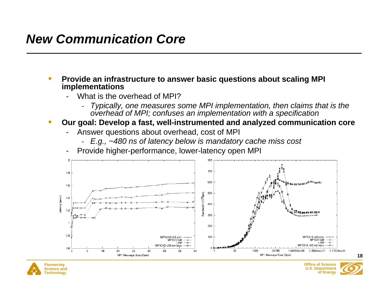### *New Communication Core*

- • **Provide an infrastructure to answer basic questions about scaling MPI implementations**
	- What is the overhead of MPI?
		- *Typically, one measures some MPI implementation, then claims that is the overhead of MPI; confuses an implementation with a specification*
- • **Our goal: Develop a fast, well-instrumented and analyzed communication core**
	- Answer questions about overhead, cost of MPI
		- *E.g., ~480 ns of latency below is mandatory cache miss cost*
	- Provide higher-performance, lower-latency open MPI



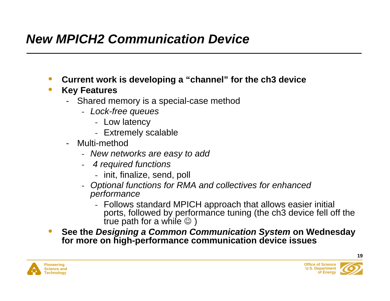## *New MPICH2 Communication Device*

- $\bullet$ **Current work is developing a "channel" for the ch3 device**
- $\bullet$  **Key Features**
	- - Shared memory is a special-case method
		- *Lock-free queues*
			- Low latency
			- Extremely scalable
	- Multi-method
		- *New networks are easy to add*
		- - *4 required functions*
			- init, finalize, send, poll
		- - *Optional functions for RMA and collectives for enhanced performance*
			- Follows standard MPICH approach that allows easier initial ports, followed by performance tuning (the ch3 device fell off the true path for a while  $\circledcirc$ )
- $\bullet$  **See the** *Designing a Common Communication System* **on Wednesday for more on high-performance communication device issues**



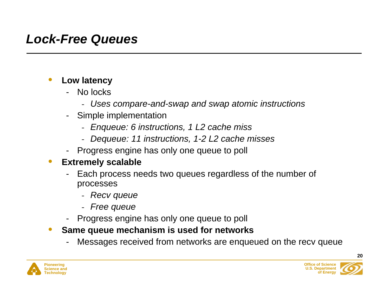### *Lock-Free Queues*

#### $\bullet$ **Low latency**

- - No locks
	- *Uses compare-and-swap and swap atomic instructions*
- - Simple implementation
	- *Enqueue: 6 instructions, 1 L2 cache miss*
	- *Dequeue: 11 instructions, 1-2 L2 cache misses*
- -Progress engine has only one queue to poll

#### $\bullet$ **Extremely scalable**

- - Each process needs two queues regardless of the number of processes
	- *Recv queue*
	- *Free queue*
- -Progress engine has only one queue to poll
- $\bullet$  **Same queue mechanism is used for networks**
	- -Messages received from networks are enqueued on the recv queue



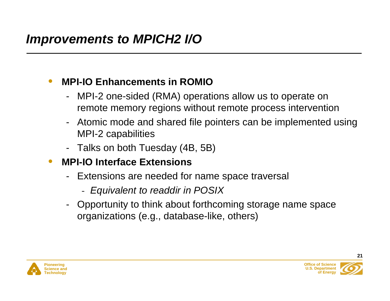#### $\bullet$ **MPI-IO Enhancements in ROMIO**

- - MPI-2 one-sided (RMA) operations allow us to operate on remote memory regions without remote process intervention
- - Atomic mode and shared file pointers can be implemented using MPI-2 capabilities
- -Talks on both Tuesday (4B, 5B)
- $\bullet$  **MPI-IO Interface Extensions**
	- - Extensions are needed for name space traversal
		- *Equivalent to readdir in POSIX*
	- - Opportunity to think about forthcoming storage name space organizations (e.g., database-like, others)



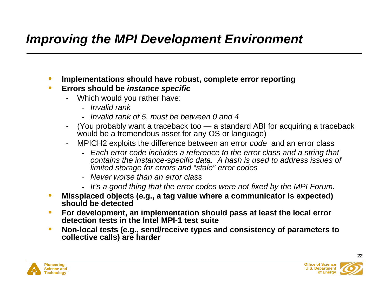### *Improving the MPI Development Environment*

- $\bullet$ **Implementations should have robust, complete error reporting**
- $\bullet$  **Errors should be** *instance specific*
	- Which would you rather have:
		- *Invalid rank*
		- *Invalid rank of 5, must be between 0 and 4*
	- -(You probably want a traceback too — a standard ABI for acquiring a traceback would be a tremendous asset for any OS or language)
	- MPICH2 exploits the difference between an error *code* and an error class
		- *Each error code includes a reference to the error class and a string that contains the instance-specific data. A hash is used to address issues of limited storage for errors and "stale" error codes*
		- *Never worse than an error class*
		- *It's a good thing that the error codes were not fixed by the MPI Forum.*
- $\bullet$  **Missplaced objects (e.g., a tag value where a communicator is expected) should be detected**
- $\bullet$  **For development, an implementation should pass at least the local error detection tests in the Intel MPI-1 test suite**
- $\bullet$  **Non-local tests (e.g., send/receive types and consistency of parameters to collective calls) are harder**



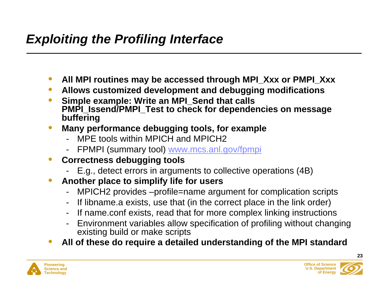## *Exploiting the Profiling Interface*

- $\bullet$ **All MPI routines may be accessed through MPI\_Xxx or PMPI\_Xxx**
- $\bullet$ **Allows customized development and debugging modifications**
- $\bullet$  **Simple example: Write an MPI\_Send that calls PMPI\_Issend/PMPI\_Test to check for dependencies on message buffering**
- $\bullet$  **Many performance debugging tools, for example**
	- MPE tools within MPICH and MPICH2
	- -FPMPI (summary tool) www.mcs.anl.gov/fpmpi
- $\bullet$  **Correctness debugging tools**
	- -E.g., detect errors in arguments to collective operations (4B)
- $\bullet$  **Another place to simplify life for users**
	- MPICH2 provides –profile=name argument for complication scripts
	- -If libname.a exists, use that (in the correct place in the link order)
	- If name.conf exists, read that for more complex linking instructions
	- Environment variables allow specification of profiling without changing existing build or make scripts
- $\bullet$ **All of these do require a detailed understanding of the MPI standard**



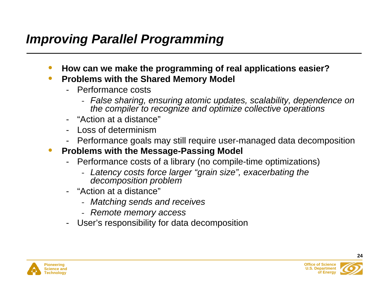### *Improving Parallel Programming*

- $\bullet$ **How can we make the programming of real applications easier?**
- $\bullet$  **Problems with the Shared Memory Model**
	- Performance costs
		- *False sharing, ensuring atomic updates, scalability, dependence on the compiler to recognize and optimize collective operations*
	- "Action at a distance"
	- Loss of determinism
	- Performance goals may still require user-managed data decomposition
- $\bullet$  **Problems with the Message-Passing Model**
	- - Performance costs of a library (no compile-time optimizations)
		- *Latency costs force larger "grain size", exacerbating the decomposition problem*
	- - "Action at a distance"
		- *Matching sends and receives*
		- *Remote memory access*
	- User's responsibility for data decomposition



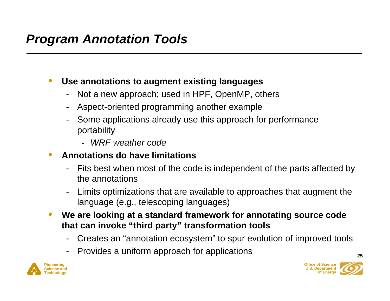#### $\bullet$ **Use annotations to augment existing languages**

- Not a new approach; used in HPF, OpenMP, others
- -Aspect-oriented programming another example
- - Some applications already use this approach for performance portability
	- *WRF weather code*

#### $\bullet$ **Annotations do have limitations**

- - Fits best when most of the code is independent of the parts affected by the annotations
- - Limits optimizations that are available to approaches that augment the language (e.g., telescoping languages)
- $\bullet$  **We are looking at a standard framework for annotating source code that can invoke "third party" transformation tools**
	- Creates an "annotation ecosystem" to spur evolution of improved tools
	- Provides a uniform approach for applications



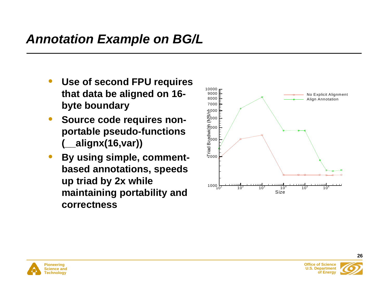- • **Use of second FPU requires that data be aligned on 16 byte boundary**
- $\bullet$  **Source code requires nonportable pseudo-functions (\_\_alignx(16,var))**
- $\bullet$  **By using simple, commentbased annotations, speeds up triad by 2x while maintaining portability and correctness**





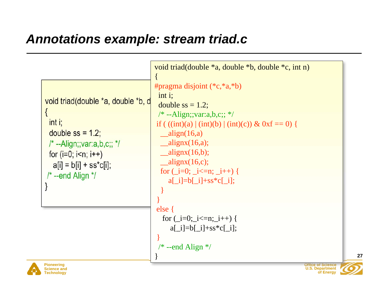### *Annotations example: stream triad.c*

|                                                                                                                                                                                                                   | void triad(double *a, double *b, double *c, int n)                                                                                                                                                                                                                                                                                                                                                                         |
|-------------------------------------------------------------------------------------------------------------------------------------------------------------------------------------------------------------------|----------------------------------------------------------------------------------------------------------------------------------------------------------------------------------------------------------------------------------------------------------------------------------------------------------------------------------------------------------------------------------------------------------------------------|
| void triad(double *a, double *b, d<br>$int i$ ;<br>double $ss = 1.2$ ;<br>$\frac{1}{2}$ --Align;; var: a, b, c;; $\frac{1}{2}$<br>for $(i=0; i \le n; i++)$<br>$ a[i] = b[i] + ss*c[i];$<br>$/* -end$ Align $*$ / | #pragma disjoint $(*c, *a, *b)$<br>$int i$ ;<br>double $ss = 1.2$ ;<br>/* --Align;;var:a,b,c;; */<br>if $((int)(a)   (int)(b)   (int)(c)) \& 0 \text{ if } = 0)$<br>$_{\text{align}(16,a)}$<br>$\text{alignx}(16,a);$<br>$\text{alignx}(16,b);$<br>$_{\text{alignx}(16,c);}$<br>for $(i=0; i<=n; i++)$ {<br>$a[i]=b[i]+ss*c[i];$<br>else<br>for $(i=0; i<=n; i++)$ {<br>$a[\_i]=b[\_i]+ss*c[\_i];$<br>$/* -end$ Align $*/$ |
| <b>Pioneering</b><br><b>Science and</b>                                                                                                                                                                           | <b>Office of Science</b><br><b>U.S. Department</b>                                                                                                                                                                                                                                                                                                                                                                         |

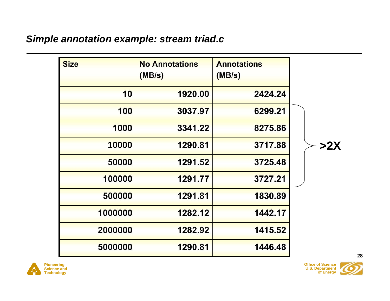### *Simple annotation example: stream triad.c*

| <b>Size</b> | <b>No Annotations</b><br>(MB/s) | <b>Annotations</b><br>(MB/s) |     |
|-------------|---------------------------------|------------------------------|-----|
| 10          | 1920.00                         | 2424.24                      |     |
| 100         | 3037.97                         | 6299.21                      |     |
| 1000        | 3341.22                         | 8275.86                      |     |
| 10000       | 1290.81                         | 3717.88                      | >2X |
| 50000       | 1291.52                         | 3725.48                      |     |
| 100000      | 1291.77                         | 3727.21                      |     |
| 500000      | 1291.81                         | 1830.89                      |     |
| 1000000     | 1282.12                         | 1442.17                      |     |
| 2000000     | 1282.92                         | 1415.52                      |     |
| 5000000     | 1290.81                         | 1446.48                      |     |

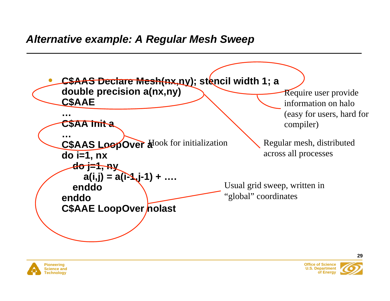



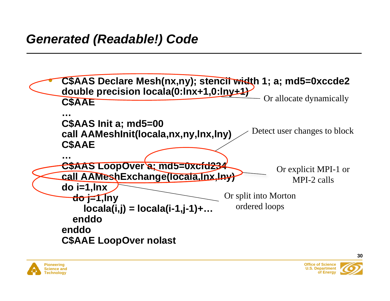



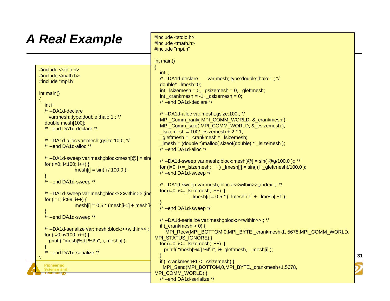# *A Real Example*

{

 $\rightarrow$ 

 $\rightarrow$ 

 $\rightarrow$ 

}

```
Pioneering
   Science and
  Technology
#include <stdio.h>
\#include <math.h>
#include "mpi.h"
int main()
   int i;
   /* --DA1d-declare
     var:mesh;;type:double;;halo:1;; */
   double mesh[100];
   /* --end DA1d-declare */
   /* --DA1d-alloc var:mesh;;gsize:100;; */
   /* --end DA1d-alloc */
  /* --DA1d-sweep var:mesh;; block:mesh[@] = sin
  for (i=0; i<100; i++) {
                mesh[i] = sin(i / 100.0);
   /* --end DA1d-sweep */
  /* --DA1d-sweep var:mesh;;block:<<within>>;;ind
  for (i=1; i<99; i++) {
                mesh[i] = 0.5 * (mesh[i-1] + mesh[i] /* --end DA1d-sweep */
   /* --DA1d-serialize var:mesh;;block:<<within>>;; */
  for (i=0; i<100; i++) {
     printf( "mesh[%d] %f\n", i, mesh[i] );
   /* --end DA1d-serialize */
                                                     #include <math.h>
                                                     #include "mpi.h"
                                                     int main()
                                                     {
                                                        int i;
                                                        /* --DA1d-declare var:mesh;;type:double;;halo:1;; */
                                                       double* lmesh=0;
                                                       int lsizemesh = 0, gzemesh = 0, gleftmesh;
                                                       int crankmesh = -1, csizemesh = 0;
                                                        /* --end DA1d-declare */
                                                        /* --DA1d-alloc var:mesh;;gsize:100;; */
                                                       MPI_Comm_rank( MPI_COMM_WORLD, &_crankmesh );
                                                       MPI_Comm_size( MPI_COMM_WORLD, &_csizemesh );
                                                       lslizemesh = 100/csizemesh + 2 * 1;gleftmesh = crankmesh * slsizemesh;
                                                       lmesh = (double^*) \text{malloc} (size of (double)^* -lsizemesh); /* --end DA1d-alloc */
                                                       \prime* --DA1d-sweep var:mesh;;block:mesh[@] = sin( @g/100.0 );; */
                                                       for (i=0; i<= lsizemesh; i++) \text{Imesh}[i] = \sin((i+q)\text{ of }i)/100.0);
                                                        /* --end DA1d-sweep */
                                                        /* --DA1d-sweep var:mesh;;block:<<within>>;;index:i;; */
                                                       for (i=0; i<= lsizemesh; i++) {
                                                                     lmesh[i] = 0.5 \star ( lmesh[i-1] + lmesh[i+1]);
                                                     \rightarrow /* --end DA1d-sweep */
                                                        /* --DA1d-serialize var:mesh;;block:<<within>>;; */
                                                       if (crankmesh > 0) {
                                                         MPI_Recv(MPI_BOTTOM,0,MPI_BYTE,_crankmesh-1, 5678,MPI_COMM_WORLD,
                                                     MPI_STATUS_IGNORE);}
                                                       for (i=0; i<= lsizemesh; i++) {
                                                          printf( "mesh[%d] %f\n", i+_gleftmesh, _lmesh[i] );
                                                     \rightarrowif (crankmesh+1 < csizemesh) {
                                                        MPI_Send(MPI_BOTTOM,0,MPI_BYTE, crankmesh+1,5678,
                                                     MPI_COMM_WORLD);}
                                                        /* --end DA1d-serialize */
```
#include <stdio.h>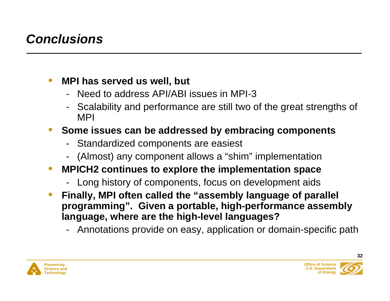## *Conclusions*

#### $\bullet$ **MPI has served us well, but**

- Need to address API/ABI issues in MPI-3
- - Scalability and performance are still two of the great strengths of MPI

#### •**Some issues can be addressed by embracing components**

- -Standardized components are easiest
- -(Almost) any component allows a "shim" implementation
- $\bullet$  **MPICH2 continues to explore the implementation space**
	- -Long history of components, focus on development aids
- $\bullet$  **Finally, MPI often called the "assembly language of parallel programming". Given a portable, high-performance assembly language, where are the high-level languages?**
	- -Annotations provide on easy, application or domain-specific path